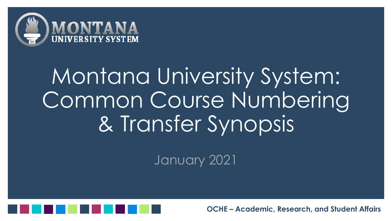

# Montana University System: Common Course Numbering & Transfer Synopsis

January 2021

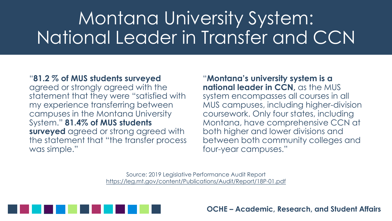# Montana University System: National Leader in Transfer and CCN

### "**81.2 % of MUS students surveyed**

agreed or strongly agreed with the statement that they were "satisfied with my experience transferring between campuses in the Montana University System." **81.4% of MUS students surveyed** agreed or strong agreed with the statement that "the transfer process was simple."

"**Montana's university system is a national leader in CCN,** as the MUS system encompasses all courses in all MUS campuses, including higher-division coursework. Only four states, including Montana, have comprehensive CCN at both higher and lower divisions and between both community colleges and four-year campuses."

Source: 2019 Legislative Performance Audit Report <https://leg.mt.gov/content/Publications/Audit/Report/18P-01.pdf>

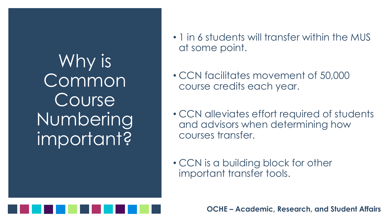Why is Common Course **Numbering** important?

- 1 in 6 students will transfer within the MUS at some point.
- CCN facilitates movement of 50,000 course credits each year.
- CCN alleviates effort required of students and advisors when determining how courses transfer.
- CCN is a building block for other important transfer tools.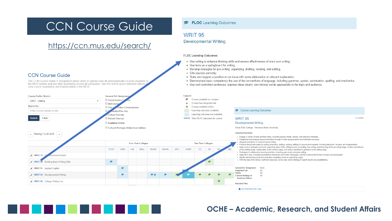### CCN Course Guide

### <https://ccn.mus.edu/search/>

FLOC Learning Outcomes

#### WRIT<sub>95</sub> **Developmental Writing**

#### **FLOC Learning Outcomes:**

- . Use writing to enhance thinking skills and assess effectiveness of one's own writing;
- Use texts as a springboard for writing:
- Develop strategies for pre-writing, organizing, drafting, revising, and editing;
- · Cite sources correctly:
- State and support a position on an issue with some elaboration or relevant explanation;
- . Demonstrate basic competency the use of the conventions of language, including grammar, syntax, punctuation, spelling, and mechanics;
- . Use well-controlled sentences, express ideas clearly, and choose words appropriate to the topic and audience.



### **OCHE – Academic, Research, and Student Affairs**

### **CCN Course Guide**

The CCN Course Guide is designed to allow users to quickly view all undergraduate courses available in the MUS system and see their availability across all campuses. Use this tool to query selected criteria view course availability and transferability in the MUS.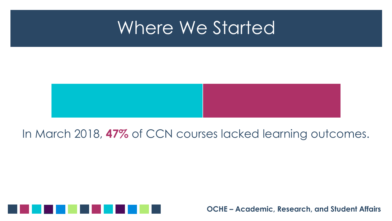## Where We Started



In March 2018, **47%** of CCN courses lacked learning outcomes.

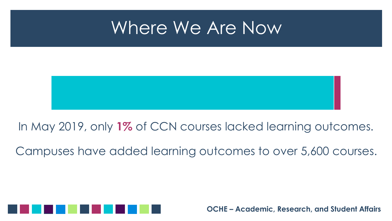## Where We Are Now



In May 2019, only **1%** of CCN courses lacked learning outcomes.

Campuses have added learning outcomes to over 5,600 courses.

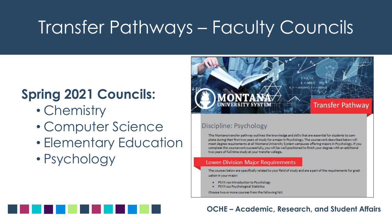# Transfer Pathways – Faculty Councils

### **Spring 2021 Councils:**

- Chemistry
- Computer Science
- Elementary Education
- Psychology



### Discipline: Psychology

This Montana transfer pathway outlines the knowledge and skills that are essential for students to complete during their first two years of study for a major in Psychology. The coursework described below will meet degree requirements at all Montana University System campuses offering majors in Psychology. If you complete this coursework successfully, you will be well-positioned to finish your degree with an additional two years of full-time study at your transfer college.

#### **Lower-Division Major Requirements**

The courses below are specifically related to your field of study and are a part of the requirements for graduation in your major:

- · PSYX 100 Introduction to Psychology
- · PSYX 222 Psychological Statistics

Choose two or more courses from the following list:

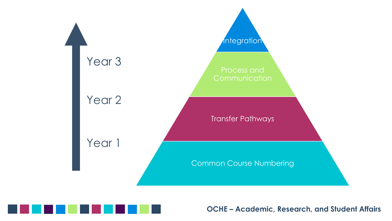